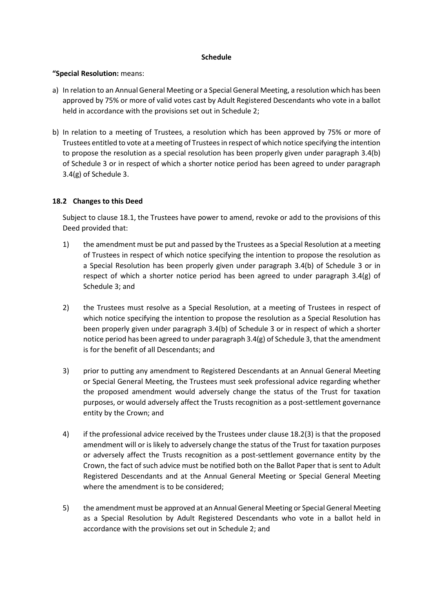#### **Schedule**

### **"Special Resolution:** means:

- a) In relation to an Annual General Meeting or a Special General Meeting, a resolution which has been approved by 75% or more of valid votes cast by Adult Registered Descendants who vote in a ballot held in accordance with the provisions set out in Schedule 2;
- b) In relation to a meeting of Trustees, a resolution which has been approved by 75% or more of Trustees entitled to vote at a meeting of Trustees in respect of which notice specifying the intention to propose the resolution as a special resolution has been properly given under paragraph 3.4(b) of Schedule 3 or in respect of which a shorter notice period has been agreed to under paragraph 3.4(g) of Schedule 3.

## **18.2 Changes to this Deed**

Subject to clause 18.1, the Trustees have power to amend, revoke or add to the provisions of this Deed provided that:

- 1) the amendment must be put and passed by the Trustees as a Special Resolution at a meeting of Trustees in respect of which notice specifying the intention to propose the resolution as a Special Resolution has been properly given under paragraph 3.4(b) of Schedule 3 or in respect of which a shorter notice period has been agreed to under paragraph  $3.4(g)$  of Schedule 3; and
- 2) the Trustees must resolve as a Special Resolution, at a meeting of Trustees in respect of which notice specifying the intention to propose the resolution as a Special Resolution has been properly given under paragraph 3.4(b) of Schedule 3 or in respect of which a shorter notice period has been agreed to under paragraph  $3.4(g)$  of Schedule 3, that the amendment is for the benefit of all Descendants; and
- 3) prior to putting any amendment to Registered Descendants at an Annual General Meeting or Special General Meeting, the Trustees must seek professional advice regarding whether the proposed amendment would adversely change the status of the Trust for taxation purposes, or would adversely affect the Trusts recognition as a post-settlement governance entity by the Crown; and
- 4) if the professional advice received by the Trustees under clause 18.2(3) is that the proposed amendment will or is likely to adversely change the status of the Trust for taxation purposes or adversely affect the Trusts recognition as a post-settlement governance entity by the Crown, the fact of such advice must be notified both on the Ballot Paper that is sent to Adult Registered Descendants and at the Annual General Meeting or Special General Meeting where the amendment is to be considered;
- 5) the amendment must be approved at an Annual General Meeting or Special General Meeting as a Special Resolution by Adult Registered Descendants who vote in a ballot held in accordance with the provisions set out in Schedule 2; and